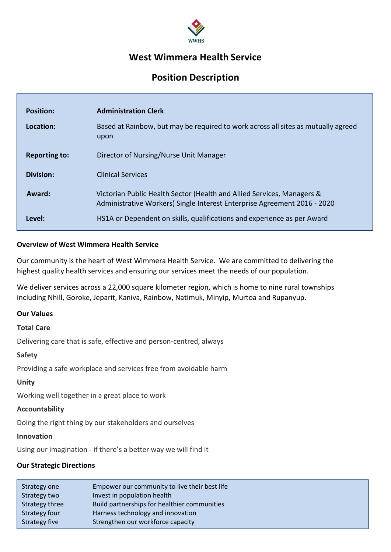

# West Wimmera Health Service

# Position Description

| <b>Position:</b>     | <b>Administration Clerk</b>                                                                                                                        |
|----------------------|----------------------------------------------------------------------------------------------------------------------------------------------------|
| Location:            | Based at Rainbow, but may be required to work across all sites as mutually agreed<br>upon                                                          |
| <b>Reporting to:</b> | Director of Nursing/Nurse Unit Manager                                                                                                             |
| <b>Division:</b>     | <b>Clinical Services</b>                                                                                                                           |
| Award:               | Victorian Public Health Sector (Health and Allied Services, Managers &<br>Administrative Workers) Single Interest Enterprise Agreement 2016 - 2020 |
| Level:               | HS1A or Dependent on skills, qualifications and experience as per Award                                                                            |

#### Overview of West Wimmera Health Service

Our community is the heart of West Wimmera Health Service. We are committed to delivering the highest quality health services and ensuring our services meet the needs of our population.

We deliver services across a 22,000 square kilometer region, which is home to nine rural townships including Nhill, Goroke, Jeparit, Kaniva, Rainbow, Natimuk, Minyip, Murtoa and Rupanyup.

#### Our Values

#### Total Care

Delivering care that is safe, effective and person-centred, always

#### Safety

Providing a safe workplace and services free from avoidable harm

#### Unity

Working well together in a great place to work

#### Accountability

Doing the right thing by our stakeholders and ourselves

## Innovation

Using our imagination - if there's a better way we will find it

# Our Strategic Directions

| Strategy one   | Empower our community to live their best life |
|----------------|-----------------------------------------------|
| Strategy two   | Invest in population health                   |
| Strategy three | Build partnerships for healthier communities  |
| Strategy four  | Harness technology and innovation             |
| Strategy five  | Strengthen our workforce capacity             |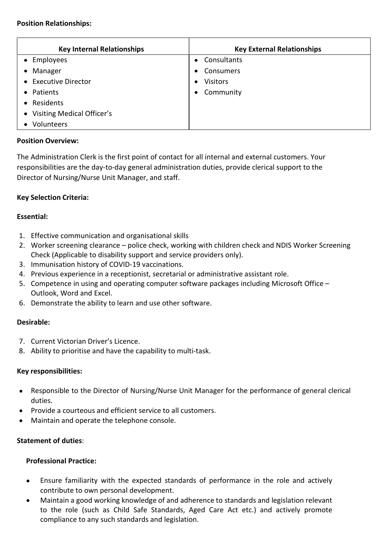#### Position Relationships:

| <b>Key Internal Relationships</b> | <b>Key External Relationships</b> |
|-----------------------------------|-----------------------------------|
| • Employees                       | Consultants<br>$\bullet$          |
| • Manager                         | Consumers<br>$\bullet$            |
| • Executive Director              | <b>Visitors</b><br>$\bullet$      |
| • Patients                        | Community<br>$\bullet$            |
| • Residents                       |                                   |
| • Visiting Medical Officer's      |                                   |
| Volunteers                        |                                   |

#### Position Overview:

The Administration Clerk is the first point of contact for all internal and external customers. Your responsibilities are the day-to-day general administration duties, provide clerical support to the Director of Nursing/Nurse Unit Manager, and staff.

## Key Selection Criteria:

#### Essential:

- 1. Effective communication and organisational skills
- 2. Worker screening clearance police check, working with children check and NDIS Worker Screening Check (Applicable to disability support and service providers only).
- 3. Immunisation history of COVID-19 vaccinations.
- 4. Previous experience in a receptionist, secretarial or administrative assistant role.
- 5. Competence in using and operating computer software packages including Microsoft Office Outlook, Word and Excel.
- 6. Demonstrate the ability to learn and use other software.

#### Desirable:

- 7. Current Victorian Driver's Licence.
- 8. Ability to prioritise and have the capability to multi-task.

#### Key responsibilities:

- Responsible to the Director of Nursing/Nurse Unit Manager for the performance of general clerical  $\bullet$ duties.
- Provide a courteous and efficient service to all customers.
- Maintain and operate the telephone console.

#### Statement of duties:

#### Professional Practice:

- Ensure familiarity with the expected standards of performance in the role and actively  $\bullet$ contribute to own personal development.
- Maintain a good working knowledge of and adherence to standards and legislation relevant to the role (such as Child Safe Standards, Aged Care Act etc.) and actively promote compliance to any such standards and legislation.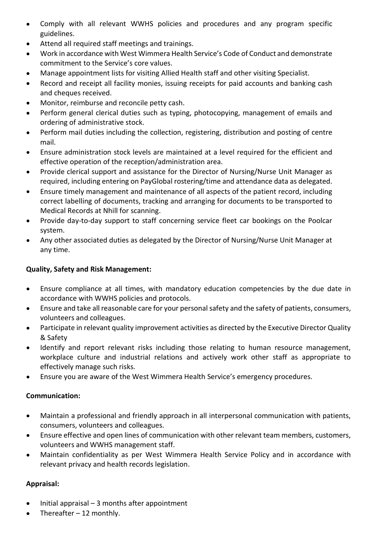- Comply with all relevant WWHS policies and procedures and any program specific  $\bullet$ guidelines.
- Attend all required staff meetings and trainings.  $\bullet$
- Work in accordance with West Wimmera Health Service's Code of Conduct and demonstrate commitment to the Service's core values.
- Manage appointment lists for visiting Allied Health staff and other visiting Specialist.
- Record and receipt all facility monies, issuing receipts for paid accounts and banking cash  $\bullet$ and cheques received.
- Monitor, reimburse and reconcile petty cash.
- Perform general clerical duties such as typing, photocopying, management of emails and  $\bullet$ ordering of administrative stock.
- Perform mail duties including the collection, registering, distribution and posting of centre  $\bullet$ mail.
- Ensure administration stock levels are maintained at a level required for the efficient and  $\bullet$ effective operation of the reception/administration area.
- Provide clerical support and assistance for the Director of Nursing/Nurse Unit Manager as  $\bullet$ required, including entering on PayGlobal rostering/time and attendance data as delegated.
- Ensure timely management and maintenance of all aspects of the patient record, including  $\bullet$ correct labelling of documents, tracking and arranging for documents to be transported to Medical Records at Nhill for scanning.
- Provide day-to-day support to staff concerning service fleet car bookings on the Poolcar  $\bullet$ system.
- Any other associated duties as delegated by the Director of Nursing/Nurse Unit Manager at  $\bullet$ any time.

## Quality, Safety and Risk Management:

- Ensure compliance at all times, with mandatory education competencies by the due date in accordance with WWHS policies and protocols.
- Ensure and take all reasonable care for your personal safety and the safety of patients, consumers,  $\bullet$ volunteers and colleagues.
- Participate in relevant quality improvement activities as directed by the Executive Director Quality  $\bullet$ & Safety
- Identify and report relevant risks including those relating to human resource management, workplace culture and industrial relations and actively work other staff as appropriate to effectively manage such risks.
- Ensure you are aware of the West Wimmera Health Service's emergency procedures.  $\bullet$

## Communication:

- Maintain a professional and friendly approach in all interpersonal communication with patients,  $\bullet$ consumers, volunteers and colleagues.
- Ensure effective and open lines of communication with other relevant team members, customers,  $\bullet$ volunteers and WWHS management staff.
- Maintain confidentiality as per West Wimmera Health Service Policy and in accordance with  $\bullet$ relevant privacy and health records legislation.

# Appraisal:

- Initial appraisal 3 months after appointment
- Thereafter 12 monthly.